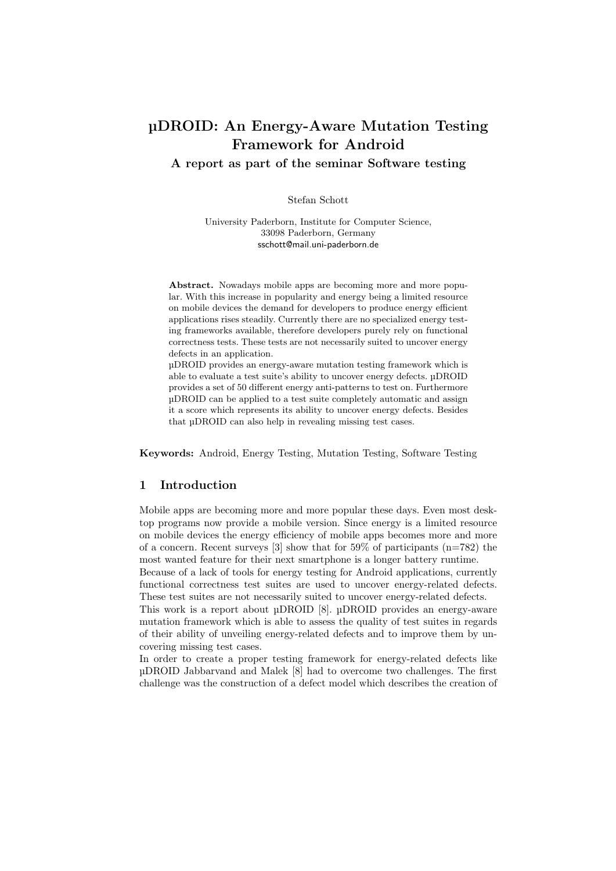# µDROID: An Energy-Aware Mutation Testing Framework for Android

A report as part of the seminar Software testing

Stefan Schott

University Paderborn, Institute for Computer Science, 33098 Paderborn, Germany sschott@mail.uni-paderborn.de

Abstract. Nowadays mobile apps are becoming more and more popular. With this increase in popularity and energy being a limited resource on mobile devices the demand for developers to produce energy efficient applications rises steadily. Currently there are no specialized energy testing frameworks available, therefore developers purely rely on functional correctness tests. These tests are not necessarily suited to uncover energy defects in an application.

µDROID provides an energy-aware mutation testing framework which is able to evaluate a test suite's ability to uncover energy defects. µDROID provides a set of 50 different energy anti-patterns to test on. Furthermore µDROID can be applied to a test suite completely automatic and assign it a score which represents its ability to uncover energy defects. Besides that µDROID can also help in revealing missing test cases.

Keywords: Android, Energy Testing, Mutation Testing, Software Testing

# 1 Introduction

Mobile apps are becoming more and more popular these days. Even most desktop programs now provide a mobile version. Since energy is a limited resource on mobile devices the energy efficiency of mobile apps becomes more and more of a concern. Recent surveys  $[3]$  show that for 59% of participants  $(n=782)$  the most wanted feature for their next smartphone is a longer battery runtime.

Because of a lack of tools for energy testing for Android applications, currently functional correctness test suites are used to uncover energy-related defects. These test suites are not necessarily suited to uncover energy-related defects.

This work is a report about  $\mu$ DROID [8].  $\mu$ DROID provides an energy-aware mutation framework which is able to assess the quality of test suites in regards of their ability of unveiling energy-related defects and to improve them by uncovering missing test cases.

In order to create a proper testing framework for energy-related defects like µDROID Jabbarvand and Malek [8] had to overcome two challenges. The first challenge was the construction of a defect model which describes the creation of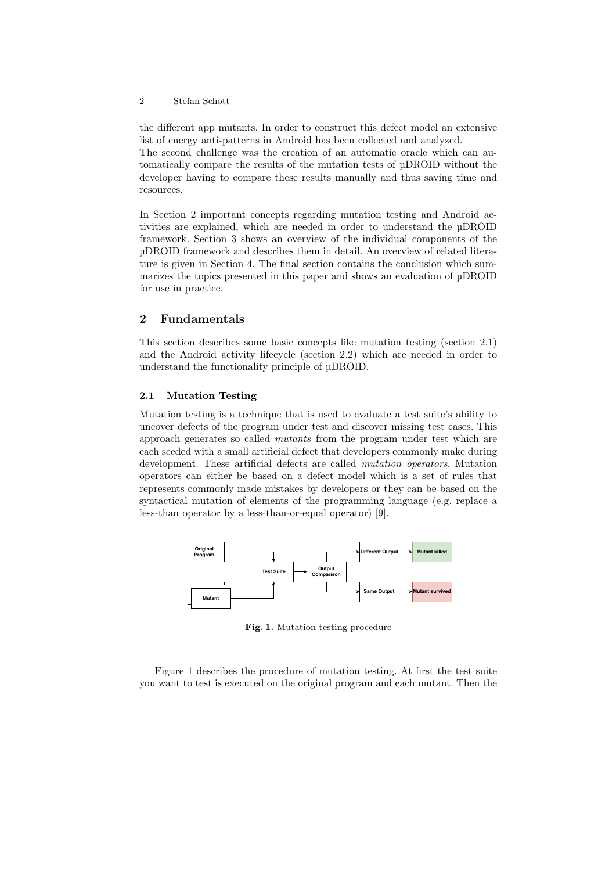the different app mutants. In order to construct this defect model an extensive list of energy anti-patterns in Android has been collected and analyzed. The second challenge was the creation of an automatic oracle which can automatically compare the results of the mutation tests of µDROID without the developer having to compare these results manually and thus saving time and resources.

In Section 2 important concepts regarding mutation testing and Android activities are explained, which are needed in order to understand the µDROID framework. Section 3 shows an overview of the individual components of the µDROID framework and describes them in detail. An overview of related literature is given in Section 4. The final section contains the conclusion which summarizes the topics presented in this paper and shows an evaluation of µDROID for use in practice.

## 2 Fundamentals

This section describes some basic concepts like mutation testing (section 2.1) and the Android activity lifecycle (section 2.2) which are needed in order to understand the functionality principle of µDROID.

### 2.1 Mutation Testing

Mutation testing is a technique that is used to evaluate a test suite's ability to uncover defects of the program under test and discover missing test cases. This approach generates so called mutants from the program under test which are each seeded with a small artificial defect that developers commonly make during development. These artificial defects are called mutation operators. Mutation operators can either be based on a defect model which is a set of rules that represents commonly made mistakes by developers or they can be based on the syntactical mutation of elements of the programming language (e.g. replace a less-than operator by a less-than-or-equal operator) [9].



Fig. 1. Mutation testing procedure

Figure 1 describes the procedure of mutation testing. At first the test suite you want to test is executed on the original program and each mutant. Then the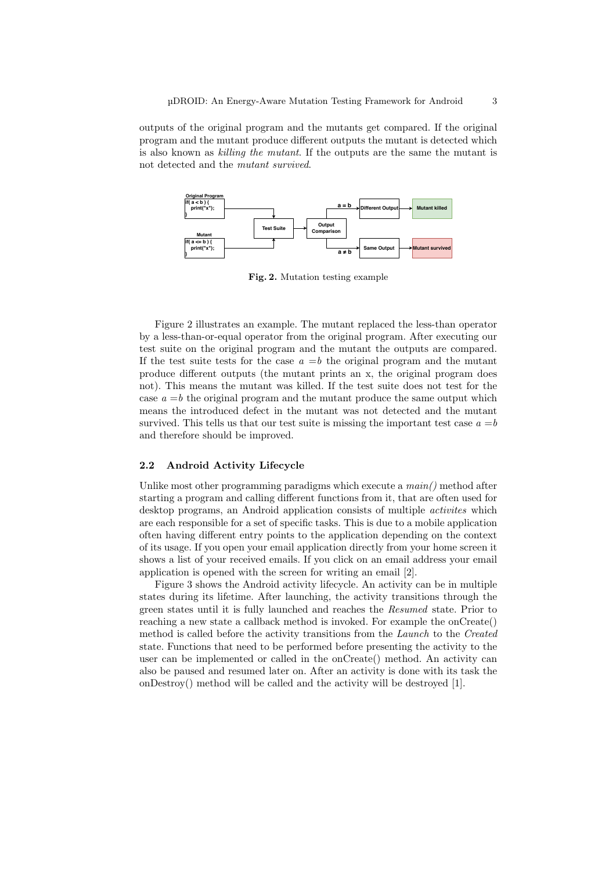outputs of the original program and the mutants get compared. If the original program and the mutant produce different outputs the mutant is detected which is also known as killing the mutant. If the outputs are the same the mutant is not detected and the mutant survived.



Fig. 2. Mutation testing example

Figure 2 illustrates an example. The mutant replaced the less-than operator by a less-than-or-equal operator from the original program. After executing our test suite on the original program and the mutant the outputs are compared. If the test suite tests for the case  $a = b$  the original program and the mutant produce different outputs (the mutant prints an x, the original program does not). This means the mutant was killed. If the test suite does not test for the case  $a = b$  the original program and the mutant produce the same output which means the introduced defect in the mutant was not detected and the mutant survived. This tells us that our test suite is missing the important test case  $a = b$ and therefore should be improved.

#### 2.2 Android Activity Lifecycle

Unlike most other programming paradigms which execute a  $main()$  method after starting a program and calling different functions from it, that are often used for desktop programs, an Android application consists of multiple activites which are each responsible for a set of specific tasks. This is due to a mobile application often having different entry points to the application depending on the context of its usage. If you open your email application directly from your home screen it shows a list of your received emails. If you click on an email address your email application is opened with the screen for writing an email [2].

Figure 3 shows the Android activity lifecycle. An activity can be in multiple states during its lifetime. After launching, the activity transitions through the green states until it is fully launched and reaches the Resumed state. Prior to reaching a new state a callback method is invoked. For example the onCreate() method is called before the activity transitions from the Launch to the Created state. Functions that need to be performed before presenting the activity to the user can be implemented or called in the onCreate() method. An activity can also be paused and resumed later on. After an activity is done with its task the onDestroy() method will be called and the activity will be destroyed [1].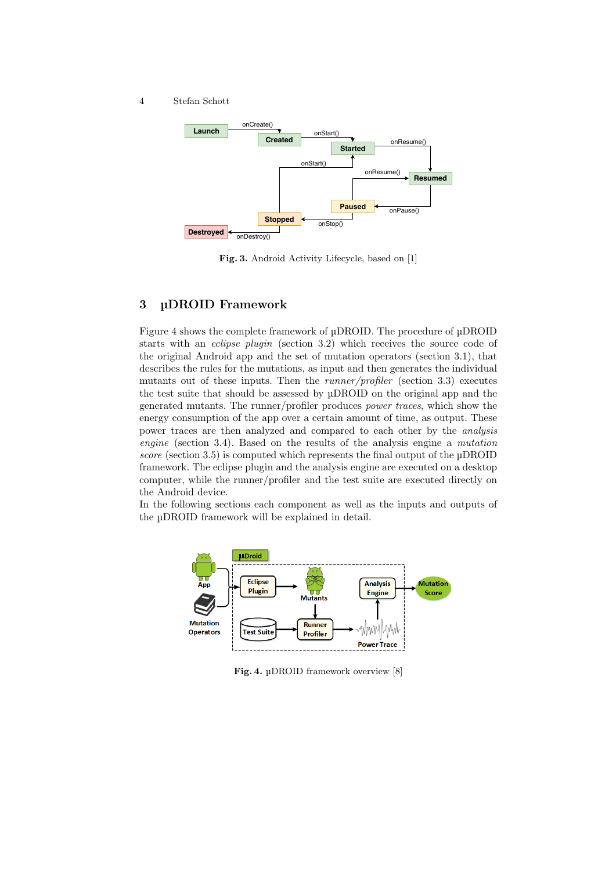

Fig. 3. Android Activity Lifecycle, based on [1]

## 3 µDROID Framework

Figure 4 shows the complete framework of µDROID. The procedure of µDROID starts with an eclipse plugin (section 3.2) which receives the source code of the original Android app and the set of mutation operators (section 3.1), that describes the rules for the mutations, as input and then generates the individual mutants out of these inputs. Then the runner/profiler (section 3.3) executes the test suite that should be assessed by µDROID on the original app and the generated mutants. The runner/profiler produces power traces, which show the energy consumption of the app over a certain amount of time, as output. These power traces are then analyzed and compared to each other by the analysis engine (section 3.4). Based on the results of the analysis engine a mutation score (section 3.5) is computed which represents the final output of the µDROID framework. The eclipse plugin and the analysis engine are executed on a desktop computer, while the runner/profiler and the test suite are executed directly on the Android device.

In the following sections each component as well as the inputs and outputs of the µDROID framework will be explained in detail.



Fig. 4. µDROID framework overview [8]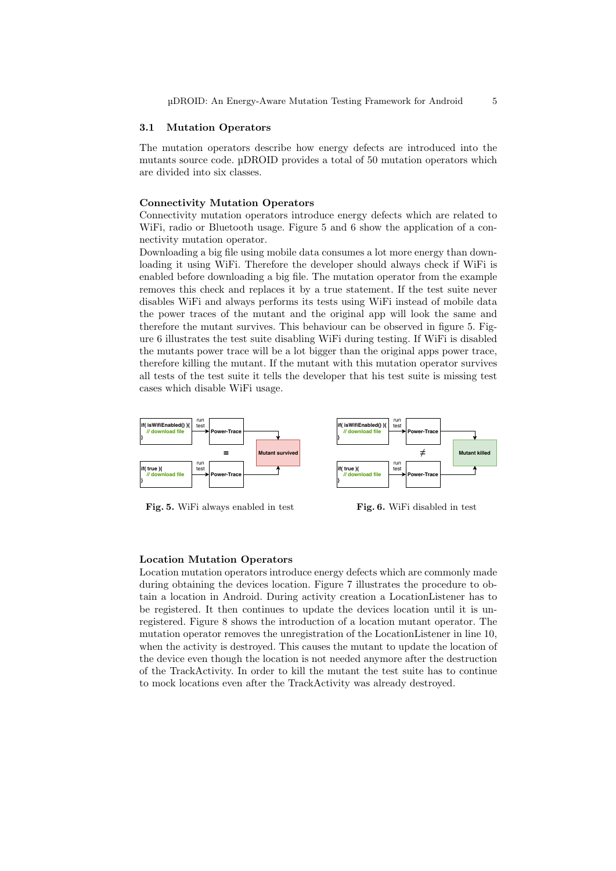#### 3.1 Mutation Operators

The mutation operators describe how energy defects are introduced into the mutants source code. µDROID provides a total of 50 mutation operators which are divided into six classes.

#### Connectivity Mutation Operators

Connectivity mutation operators introduce energy defects which are related to WiFi, radio or Bluetooth usage. Figure 5 and 6 show the application of a connectivity mutation operator.

Downloading a big file using mobile data consumes a lot more energy than downloading it using WiFi. Therefore the developer should always check if WiFi is enabled before downloading a big file. The mutation operator from the example removes this check and replaces it by a true statement. If the test suite never disables WiFi and always performs its tests using WiFi instead of mobile data the power traces of the mutant and the original app will look the same and therefore the mutant survives. This behaviour can be observed in figure 5. Figure 6 illustrates the test suite disabling WiFi during testing. If WiFi is disabled the mutants power trace will be a lot bigger than the original apps power trace, therefore killing the mutant. If the mutant with this mutation operator survives all tests of the test suite it tells the developer that his test suite is missing test cases which disable WiFi usage.



Fig. 5. WiFi always enabled in test



#### Location Mutation Operators

Location mutation operators introduce energy defects which are commonly made during obtaining the devices location. Figure 7 illustrates the procedure to obtain a location in Android. During activity creation a LocationListener has to be registered. It then continues to update the devices location until it is unregistered. Figure 8 shows the introduction of a location mutant operator. The mutation operator removes the unregistration of the LocationListener in line 10, when the activity is destroyed. This causes the mutant to update the location of the device even though the location is not needed anymore after the destruction of the TrackActivity. In order to kill the mutant the test suite has to continue to mock locations even after the TrackActivity was already destroyed.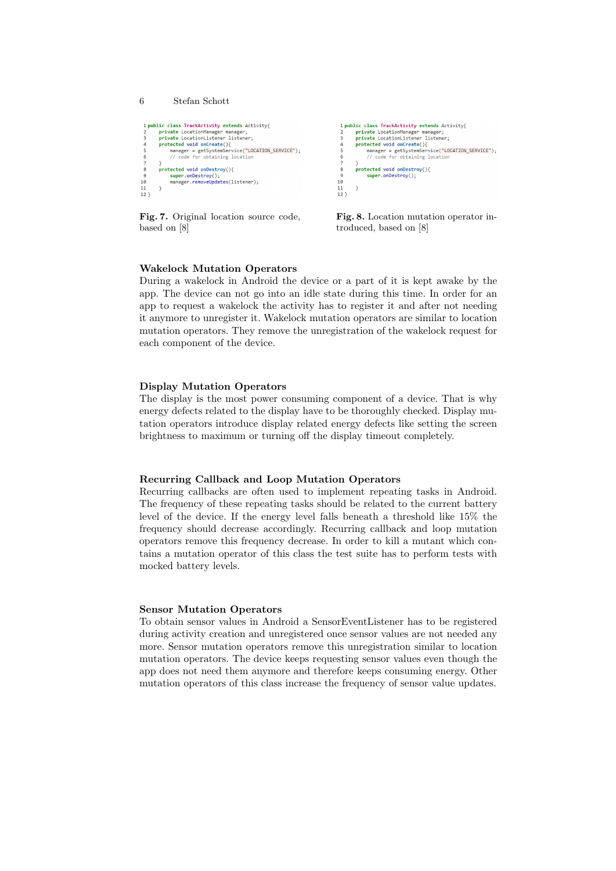```
6 Stefan Schott
 1 public class TrackActivity extends Activity{
           private LocationManager manager;<br>private LocationListener listener;
                       " LocationListener isstener;<br>ted void onCreate(){<br>nager = getSystemService("LOCATION_SERVICE");<br>code for obtaining location
           protected void onCreate(){
                  manager
           f<br>protected void onDestroy(){
                   super.onDestroy();
\begin{array}{c} 10 \\ 11 \\ 12 \end{array}super.onbestroy();<br>manager.removeUpdates(listener);
          \overline{\mathbf{r}}
```
Fig. 7. Original location source code, based on [8]



Fig. 8. Location mutation operator introduced, based on [8]

## Wakelock Mutation Operators

During a wakelock in Android the device or a part of it is kept awake by the app. The device can not go into an idle state during this time. In order for an app to request a wakelock the activity has to register it and after not needing it anymore to unregister it. Wakelock mutation operators are similar to location mutation operators. They remove the unregistration of the wakelock request for each component of the device.

#### Display Mutation Operators

The display is the most power consuming component of a device. That is why energy defects related to the display have to be thoroughly checked. Display mutation operators introduce display related energy defects like setting the screen brightness to maximum or turning off the display timeout completely.

#### Recurring Callback and Loop Mutation Operators

Recurring callbacks are often used to implement repeating tasks in Android. The frequency of these repeating tasks should be related to the current battery level of the device. If the energy level falls beneath a threshold like 15% the frequency should decrease accordingly. Recurring callback and loop mutation operators remove this frequency decrease. In order to kill a mutant which contains a mutation operator of this class the test suite has to perform tests with mocked battery levels.

#### Sensor Mutation Operators

To obtain sensor values in Android a SensorEventListener has to be registered during activity creation and unregistered once sensor values are not needed any more. Sensor mutation operators remove this unregistration similar to location mutation operators. The device keeps requesting sensor values even though the app does not need them anymore and therefore keeps consuming energy. Other mutation operators of this class increase the frequency of sensor value updates.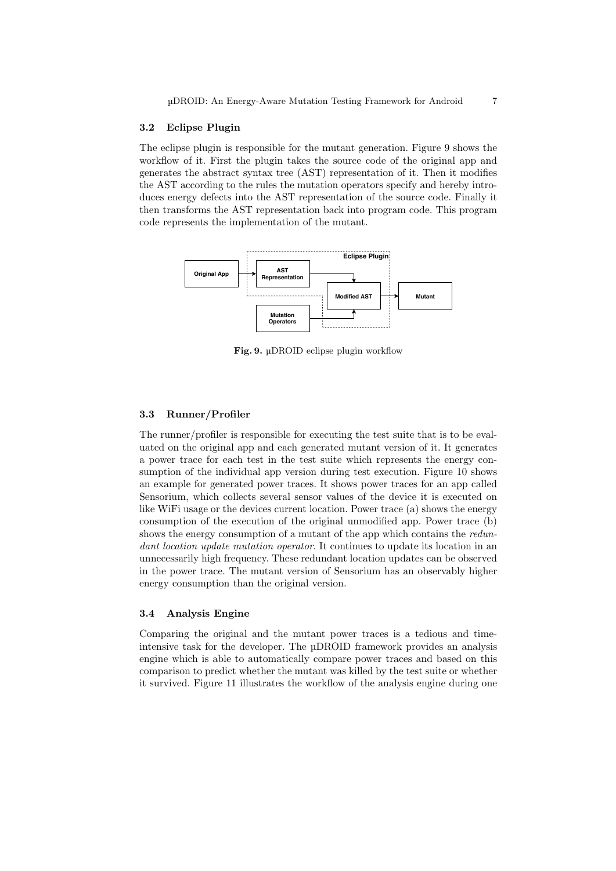#### 3.2 Eclipse Plugin

The eclipse plugin is responsible for the mutant generation. Figure 9 shows the workflow of it. First the plugin takes the source code of the original app and generates the abstract syntax tree (AST) representation of it. Then it modifies the AST according to the rules the mutation operators specify and hereby introduces energy defects into the AST representation of the source code. Finally it then transforms the AST representation back into program code. This program code represents the implementation of the mutant.



Fig. 9. µDROID eclipse plugin workflow

#### 3.3 Runner/Profiler

The runner/profiler is responsible for executing the test suite that is to be evaluated on the original app and each generated mutant version of it. It generates a power trace for each test in the test suite which represents the energy consumption of the individual app version during test execution. Figure 10 shows an example for generated power traces. It shows power traces for an app called Sensorium, which collects several sensor values of the device it is executed on like WiFi usage or the devices current location. Power trace (a) shows the energy consumption of the execution of the original unmodified app. Power trace (b) shows the energy consumption of a mutant of the app which contains the redundant location update mutation operator. It continues to update its location in an unnecessarily high frequency. These redundant location updates can be observed in the power trace. The mutant version of Sensorium has an observably higher energy consumption than the original version.

#### 3.4 Analysis Engine

Comparing the original and the mutant power traces is a tedious and timeintensive task for the developer. The µDROID framework provides an analysis engine which is able to automatically compare power traces and based on this comparison to predict whether the mutant was killed by the test suite or whether it survived. Figure 11 illustrates the workflow of the analysis engine during one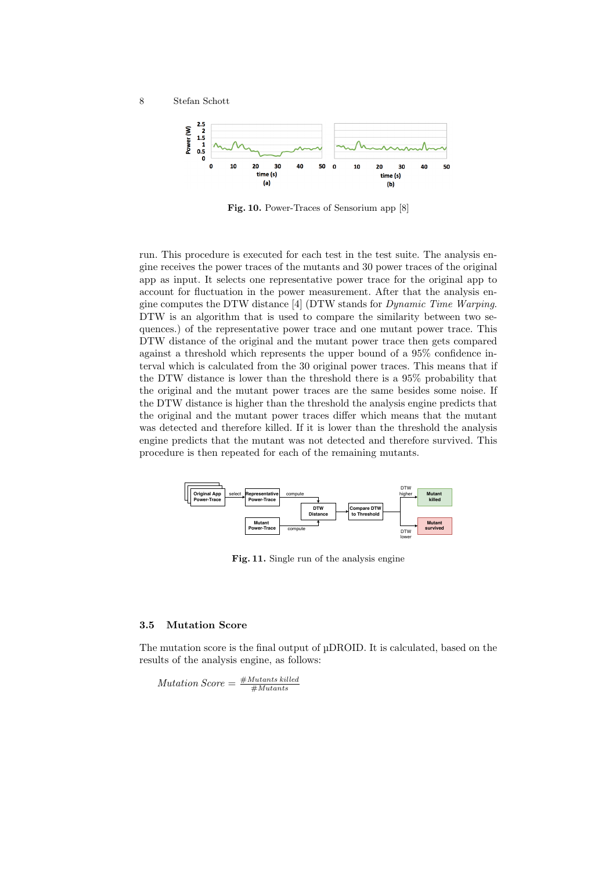

Fig. 10. Power-Traces of Sensorium app [8]

run. This procedure is executed for each test in the test suite. The analysis engine receives the power traces of the mutants and 30 power traces of the original app as input. It selects one representative power trace for the original app to account for fluctuation in the power measurement. After that the analysis engine computes the DTW distance [4] (DTW stands for Dynamic Time Warping. DTW is an algorithm that is used to compare the similarity between two sequences.) of the representative power trace and one mutant power trace. This DTW distance of the original and the mutant power trace then gets compared against a threshold which represents the upper bound of a 95% confidence interval which is calculated from the 30 original power traces. This means that if the DTW distance is lower than the threshold there is a 95% probability that the original and the mutant power traces are the same besides some noise. If the DTW distance is higher than the threshold the analysis engine predicts that the original and the mutant power traces differ which means that the mutant was detected and therefore killed. If it is lower than the threshold the analysis engine predicts that the mutant was not detected and therefore survived. This procedure is then repeated for each of the remaining mutants.



Fig. 11. Single run of the analysis engine

#### 3.5 Mutation Score

The mutation score is the final output of µDROID. It is calculated, based on the results of the analysis engine, as follows:

 $\textit{Mutation Score} = \frac{\textit{\#Mutants killed}}{\textit{\#Mutants}}$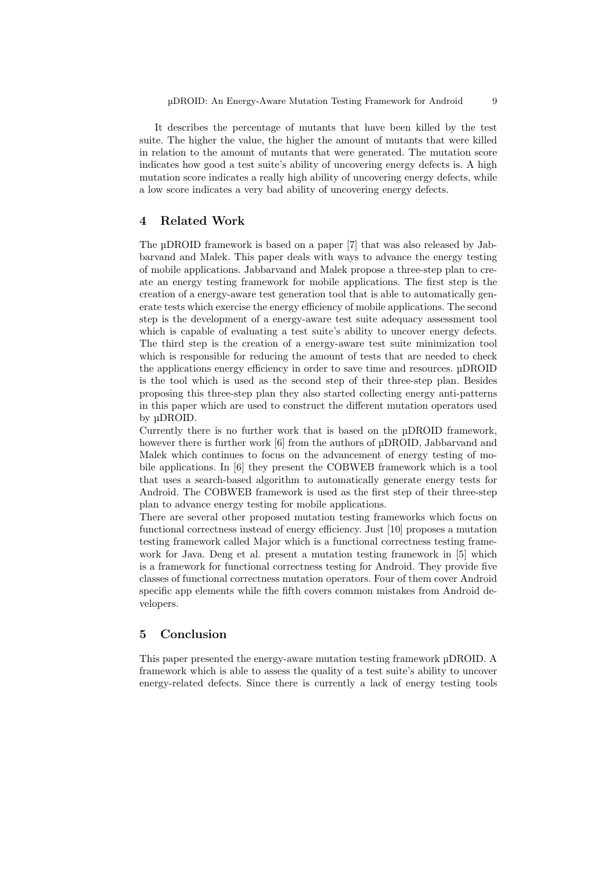It describes the percentage of mutants that have been killed by the test suite. The higher the value, the higher the amount of mutants that were killed in relation to the amount of mutants that were generated. The mutation score indicates how good a test suite's ability of uncovering energy defects is. A high mutation score indicates a really high ability of uncovering energy defects, while a low score indicates a very bad ability of uncovering energy defects.

## 4 Related Work

The µDROID framework is based on a paper [7] that was also released by Jabbarvand and Malek. This paper deals with ways to advance the energy testing of mobile applications. Jabbarvand and Malek propose a three-step plan to create an energy testing framework for mobile applications. The first step is the creation of a energy-aware test generation tool that is able to automatically generate tests which exercise the energy efficiency of mobile applications. The second step is the development of a energy-aware test suite adequacy assessment tool which is capable of evaluating a test suite's ability to uncover energy defects. The third step is the creation of a energy-aware test suite minimization tool which is responsible for reducing the amount of tests that are needed to check the applications energy efficiency in order to save time and resources. µDROID is the tool which is used as the second step of their three-step plan. Besides proposing this three-step plan they also started collecting energy anti-patterns in this paper which are used to construct the different mutation operators used by µDROID.

Currently there is no further work that is based on the µDROID framework, however there is further work [6] from the authors of  $\mu$ DROID, Jabbarvand and Malek which continues to focus on the advancement of energy testing of mobile applications. In [6] they present the COBWEB framework which is a tool that uses a search-based algorithm to automatically generate energy tests for Android. The COBWEB framework is used as the first step of their three-step plan to advance energy testing for mobile applications.

There are several other proposed mutation testing frameworks which focus on functional correctness instead of energy efficiency. Just [10] proposes a mutation testing framework called Major which is a functional correctness testing framework for Java. Deng et al. present a mutation testing framework in [5] which is a framework for functional correctness testing for Android. They provide five classes of functional correctness mutation operators. Four of them cover Android specific app elements while the fifth covers common mistakes from Android developers.

# 5 Conclusion

This paper presented the energy-aware mutation testing framework µDROID. A framework which is able to assess the quality of a test suite's ability to uncover energy-related defects. Since there is currently a lack of energy testing tools